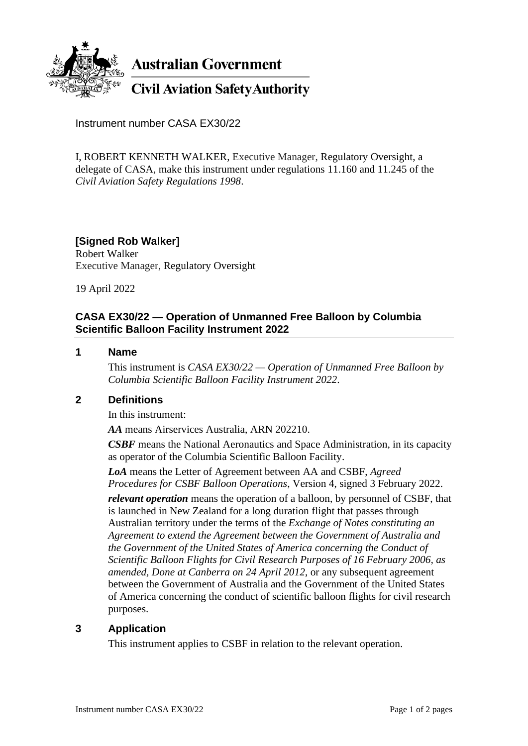

**Australian Government** 

**Civil Aviation Safety Authority** 

Instrument number CASA EX30/22

I, ROBERT KENNETH WALKER, Executive Manager, Regulatory Oversight, a delegate of CASA, make this instrument under regulations 11.160 and 11.245 of the *Civil Aviation Safety Regulations 1998*.

# **[Signed Rob Walker]**

Robert Walker Executive Manager, Regulatory Oversight

19 April 2022

## **CASA EX30/22 — Operation of Unmanned Free Balloon by Columbia Scientific Balloon Facility Instrument 2022**

#### **1 Name**

This instrument is *CASA EX30/22 — Operation of Unmanned Free Balloon by Columbia Scientific Balloon Facility Instrument 2022*.

#### **2 Definitions**

In this instrument:

*AA* means Airservices Australia, ARN 202210.

*CSBF* means the National Aeronautics and Space Administration, in its capacity as operator of the Columbia Scientific Balloon Facility.

*LoA* means the Letter of Agreement between AA and CSBF, *Agreed Procedures for CSBF Balloon Operations*, Version 4, signed 3 February 2022.

*relevant operation* means the operation of a balloon, by personnel of CSBF, that is launched in New Zealand for a long duration flight that passes through Australian territory under the terms of the *Exchange of Notes constituting an Agreement to extend the Agreement between the Government of Australia and the Government of the United States of America concerning the Conduct of Scientific Balloon Flights for Civil Research Purposes of 16 February 2006, as amended, Done at Canberra on 24 April 2012*, or any subsequent agreement between the Government of Australia and the Government of the United States of America concerning the conduct of scientific balloon flights for civil research purposes.

#### **3 Application**

This instrument applies to CSBF in relation to the relevant operation.